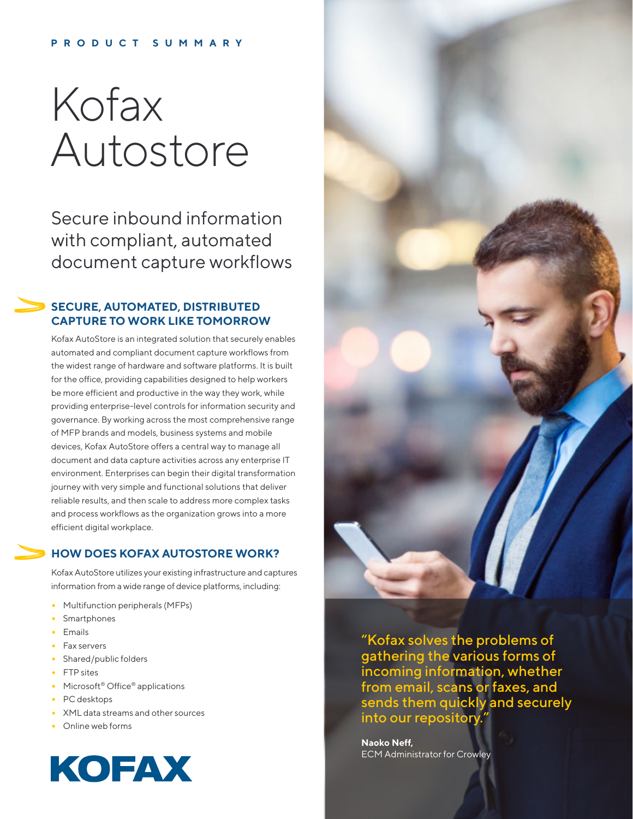# **PRODUCT SUMMARY**

# Kofax Autostore

Secure inbound information with compliant, automated document capture workflows

# **SECURE, AUTOMATED, DISTRIBUTED CAPTURE TO WORK LIKE TOMORROW**

Kofax AutoStore is an integrated solution that securely enables automated and compliant document capture workflows from the widest range of hardware and software platforms. It is built for the office, providing capabilities designed to help workers be more efficient and productive in the way they work, while providing enterprise-level controls for information security and governance. By working across the most comprehensive range of MFP brands and models, business systems and mobile devices, Kofax AutoStore offers a central way to manage all document and data capture activities across any enterprise IT environment. Enterprises can begin their digital transformation journey with very simple and functional solutions that deliver reliable results, and then scale to address more complex tasks and process workflows as the organization grows into a more efficient digital workplace.

# **HOW DOES KOFAX AUTOSTORE WORK?**

Kofax AutoStore utilizes your existing infrastructure and captures information from a wide range of device platforms, including:

**•** Multifunction peripherals (MFPs) **•** Smartphones **•** Emails **•** Fax servers **•** Shared/public folders **•** FTP sites **•** Microsoft® Office® applications **•** PC desktops **•** XML data streams and other sources **•** Online web forms





"Kofax solves the problems of gathering the various forms of incoming information, whether from email, scans or faxes, and sends them quickly and securely into our repository."

**Naoko Neff,** ECM Administrator for Crowley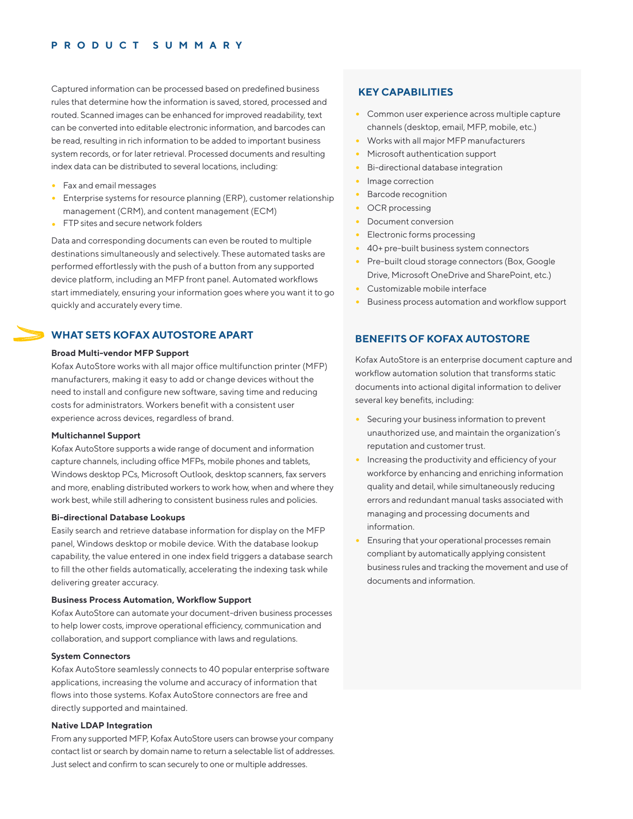# **PRODUCT SUMMARY**

Captured information can be processed based on predefined business rules that determine how the information is saved, stored, processed and routed. Scanned images can be enhanced for improved readability, text can be converted into editable electronic information, and barcodes can be read, resulting in rich information to be added to important business system records, or for later retrieval. Processed documents and resulting index data can be distributed to several locations, including:

### **•** Fax and email messages

**•** Enterprise systems for resource planning (ERP), customer relationship management (CRM), and content management (ECM) **•** FTP sites and secure network folders

Data and corresponding documents can even be routed to multiple destinations simultaneously and selectively. These automated tasks are performed effortlessly with the push of a button from any supported device platform, including an MFP front panel. Automated workflows start immediately, ensuring your information goes where you want it to go quickly and accurately every time.

# **WHAT SETS KOFAX AUTOSTORE APART**

# **Broad Multi-vendor MFP Support**

Kofax AutoStore works with all major office multifunction printer (MFP) manufacturers, making it easy to add or change devices without the need to install and configure new software, saving time and reducing costs for administrators. Workers benefit with a consistent user experience across devices, regardless of brand.

### **Multichannel Support**

Kofax AutoStore supports a wide range of document and information capture channels, including office MFPs, mobile phones and tablets, Windows desktop PCs, Microsoft Outlook, desktop scanners, fax servers and more, enabling distributed workers to work how, when and where they work best, while still adhering to consistent business rules and policies.

# **Bi-directional Database Lookups**

Easily search and retrieve database information for display on the MFP panel, Windows desktop or mobile device. With the database lookup capability, the value entered in one index field triggers a database search to fill the other fields automatically, accelerating the indexing task while delivering greater accuracy.

### **Business Process Automation, Workflow Support**

Kofax AutoStore can automate your document-driven business processes to help lower costs, improve operational efficiency, communication and collaboration, and support compliance with laws and regulations.

# **System Connectors**

Kofax AutoStore seamlessly connects to 40 popular enterprise software applications, increasing the volume and accuracy of information that flows into those systems. Kofax AutoStore connectors are free and directly supported and maintained.

# **Native LDAP Integration**

From any supported MFP, Kofax AutoStore users can browse your company contact list or search by domain name to return a selectable list of addresses. Just select and confirm to scan securely to one or multiple addresses.

- 
- 
- 
- **•** Bi-directional database integration
- 
- 
- 
- **•** Document conversion
- **•** Electronic forms processing
- 
- 
- **•** Customizable mobile interface
- 

- 
- 
-